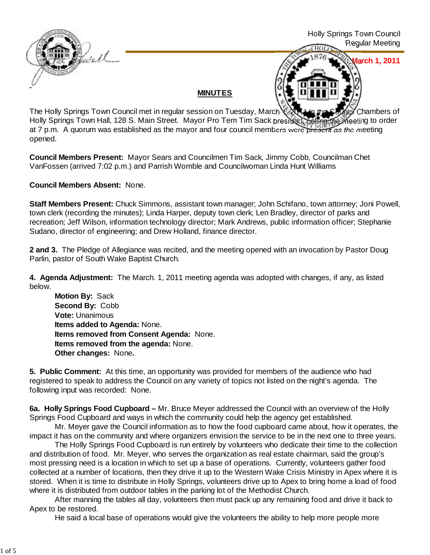

**March 1, 2011**

## **MINUTES**

The Holly Springs Town Council met in regular session on Tuesday, March 1, 2014 in the Council Chambers of Holly Springs Town Hall, 128 S. Main Street. Mayor Pro Tem Tim Sack presided, calling the meeting to order at 7 p.m. A quorum was established as the mayor and four council members were present as the meeting opened.

**Council Members Present:** Mayor Sears and Councilmen Tim Sack, Jimmy Cobb, Councilman Chet VanFossen (arrived 7:02 p.m.) and Parrish Womble and Councilwoman Linda Hunt Williams

**Council Members Absent:** None.

**Staff Members Present:** Chuck Simmons, assistant town manager; John Schifano, town attorney; Joni Powell, town clerk (recording the minutes); Linda Harper, deputy town clerk; Len Bradley, director of parks and recreation; Jeff Wilson, information technology director; Mark Andrews, public information officer; Stephanie Sudano, director of engineering; and Drew Holland, finance director.

**2 and 3.** The Pledge of Allegiance was recited, and the meeting opened with an invocation by Pastor Doug Parlin, pastor of South Wake Baptist Church.

**4. Agenda Adjustment:** The March. 1, 2011 meeting agenda was adopted with changes, if any, as listed below.

**Motion By: Sack Second By:** Cobb **Vote:** Unanimous **Items added to Agenda:** None. **Items removed from Consent Agenda:** None. **Items removed from the agenda:** None. **Other changes:** None**.**

**5. Public Comment:** At this time, an opportunity was provided for members of the audience who had registered to speak to address the Council on any variety of topics not listed on the night's agenda. The following input was recorded: None.

**6a. Holly Springs Food Cupboard –** Mr. Bruce Meyer addressed the Council with an overview of the Holly Springs Food Cupboard and ways in which the community could help the agency get established.

 Mr. Meyer gave the Council information as to how the food cupboard came about, how it operates, the impact it has on the community and where organizers envision the service to be in the next one to three years.

 The Holly Springs Food Cupboard is run entirely by volunteers who dedicate their time to the collection and distribution of food. Mr. Meyer, who serves the organization as real estate chairman, said the group's most pressing need is a location in which to set up a base of operations. Currently, volunteers gather food collected at a number of locations, then they drive it up to the Western Wake Crisis Ministry in Apex where it is stored. When it is time to distribute in Holly Springs, volunteers drive up to Apex to bring home a load of food where it is distributed from outdoor tables in the parking lot of the Methodist Church.

 After manning the tables all day, volunteers then must pack up any remaining food and drive it back to Apex to be restored.

He said a local base of operations would give the volunteers the ability to help more people more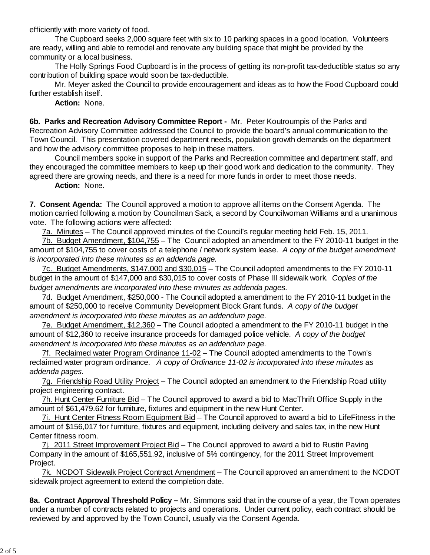efficiently with more variety of food.

 The Cupboard seeks 2,000 square feet with six to 10 parking spaces in a good location. Volunteers are ready, willing and able to remodel and renovate any building space that might be provided by the community or a local business.

 The Holly Springs Food Cupboard is in the process of getting its non-profit tax-deductible status so any contribution of building space would soon be tax-deductible.

Mr. Meyer asked the Council to provide encouragement and ideas as to how the Food Cupboard could further establish itself.

**Action:** None.

**6b. Parks and Recreation Advisory Committee Report -** Mr. Peter Koutroumpis of the Parks and Recreation Advisory Committee addressed the Council to provide the board's annual communication to the Town Council. This presentation covered department needs, population growth demands on the department and how the advisory committee proposes to help in these matters.

 Council members spoke in support of the Parks and Recreation committee and department staff, and they encouraged the committee members to keep up their good work and dedication to the community. They agreed there are growing needs, and there is a need for more funds in order to meet those needs.

**Action:** None.

**7. Consent Agenda:** The Council approved a motion to approve all items on the Consent Agenda. The motion carried following a motion by Councilman Sack, a second by Councilwoman Williams and a unanimous vote. The following actions were affected:

7a. Minutes – The Council approved minutes of the Council's regular meeting held Feb. 15, 2011.

7b. Budget Amendment, \$104,755 – The Council adopted an amendment to the FY 2010-11 budget in the amount of \$104,755 to cover costs of a telephone / network system lease. *A copy of the budget amendment is incorporated into these minutes as an addenda page.*

7c. Budget Amendments, \$147,000 and \$30,015 – The Council adopted amendments to the FY 2010-11 budget in the amount of \$147,000 and \$30,015 to cover costs of Phase III sidewalk work.*Copies of the budget amendments are incorporated into these minutes as addenda pages.*

7d. Budget Amendment, \$250,000 - The Council adopted a amendment to the FY 2010-11 budget in the amount of \$250,000 to receive Community Development Block Grant funds. *A copy of the budget amendment is incorporated into these minutes as an addendum page.*

7e. Budget Amendment, \$12,360 – The Council adopted a amendment to the FY 2010-11 budget in the amount of \$12,360 to receive insurance proceeds for damaged police vehicle. *A copy of the budget amendment is incorporated into these minutes as an addendum page.*

7f. Reclaimed water Program Ordinance 11-02 – The Council adopted amendments to the Town's reclaimed water program ordinance. *A copy of Ordinance 11-02 is incorporated into these minutes as addenda pages.*

7g. Friendship Road Utility Project – The Council adopted an amendment to the Friendship Road utility project engineering contract.

7h. Hunt Center Furniture Bid – The Council approved to award a bid to MacThrift Office Supply in the amount of \$61,479.62 for furniture, fixtures and equipment in the new Hunt Center.

7i. Hunt Center Fitness Room Equipment Bid – The Council approved to award a bid to LifeFitness in the amount of \$156,017 for furniture, fixtures and equipment, including delivery and sales tax, in the new Hunt Center fitness room.

7j. 2011 Street Improvement Project Bid – The Council approved to award a bid to Rustin Paving Company in the amount of \$165,551.92, inclusive of 5% contingency, for the 2011 Street Improvement Project.

7k. NCDOT Sidewalk Project Contract Amendment – The Council approved an amendment to the NCDOT sidewalk project agreement to extend the completion date.

**8a. Contract Approval Threshold Policy –** Mr. Simmons said that in the course of a year, the Town operates under a number of contracts related to projects and operations. Under current policy, each contract should be reviewed by and approved by the Town Council, usually via the Consent Agenda.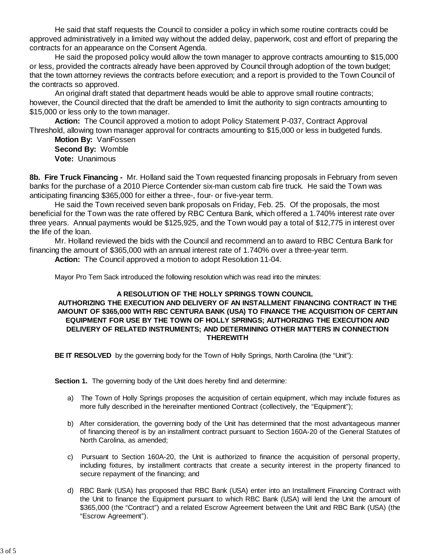He said that staff requests the Council to consider a policy in which some routine contracts could be approved administratively in a limited way without the added delay, paperwork, cost and effort of preparing the contracts for an appearance on the Consent Agenda.

 He said the proposed policy would allow the town manager to approve contracts amounting to \$15,000 or less, provided the contracts already have been approved by Council through adoption of the town budget; that the town attorney reviews the contracts before execution; and a report is provided to the Town Council of the contracts so approved.

 An original draft stated that department heads would be able to approve small routine contracts; however, the Council directed that the draft be amended to limit the authority to sign contracts amounting to \$15,000 or less only to the town manager.

**Action:** The Council approved a motion to adopt Policy Statement P-037, Contract Approval Threshold, allowing town manager approval for contracts amounting to \$15,000 or less in budgeted funds.

**Motion By:** VanFossen **Second By:** Womble **Vote:** Unanimous

**8b. Fire Truck Financing -** Mr. Holland said the Town requested financing proposals in February from seven banks for the purchase of a 2010 Pierce Contender six-man custom cab fire truck. He said the Town was anticipating financing \$365,000 for either a three-, four- or five-year term.

He said the Town received seven bank proposals on Friday, Feb. 25. Of the proposals, the most beneficial for the Town was the rate offered by RBC Centura Bank, which offered a 1.740% interest rate over three years. Annual payments would be \$125,925, and the Town would pay a total of \$12,775 in interest over the life of the loan.

Mr. Holland reviewed the bids with the Council and recommend an to award to RBC Centura Bank for financing the amount of \$365,000 with an annual interest rate of 1.740% over a three-year term.

**Action:** The Council approved a motion to adopt Resolution 11-04.

Mayor Pro Tem Sack introduced the following resolution which was read into the minutes:

#### **A RESOLUTION OF THE HOLLY SPRINGS TOWN COUNCIL**

## **AUTHORIZING THE EXECUTION AND DELIVERY OF AN INSTALLMENT FINANCING CONTRACT IN THE AMOUNT OF \$365,000 WITH RBC CENTURA BANK (USA) TO FINANCE THE ACQUISITION OF CERTAIN EQUIPMENT FOR USE BY THE TOWN OF HOLLY SPRINGS; AUTHORIZING THE EXECUTION AND DELIVERY OF RELATED INSTRUMENTS; AND DETERMINING OTHER MATTERS IN CONNECTION THEREWITH**

**BE IT RESOLVED** by the governing body for the Town of Holly Springs, North Carolina (the "Unit"):

**Section 1.** The governing body of the Unit does hereby find and determine:

- a) The Town of Holly Springs proposes the acquisition of certain equipment, which may include fixtures as more fully described in the hereinafter mentioned Contract (collectively, the "Equipment");
- b) After consideration, the governing body of the Unit has determined that the most advantageous manner of financing thereof is by an installment contract pursuant to Section 160A-20 of the General Statutes of North Carolina, as amended;
- c) Pursuant to Section 160A-20, the Unit is authorized to finance the acquisition of personal property, including fixtures, by installment contracts that create a security interest in the property financed to secure repayment of the financing; and
- d) RBC Bank (USA) has proposed that RBC Bank (USA) enter into an Installment Financing Contract with the Unit to finance the Equipment pursuant to which RBC Bank (USA) will lend the Unit the amount of \$365,000 (the "Contract") and a related Escrow Agreement between the Unit and RBC Bank (USA) (the "Escrow Agreement").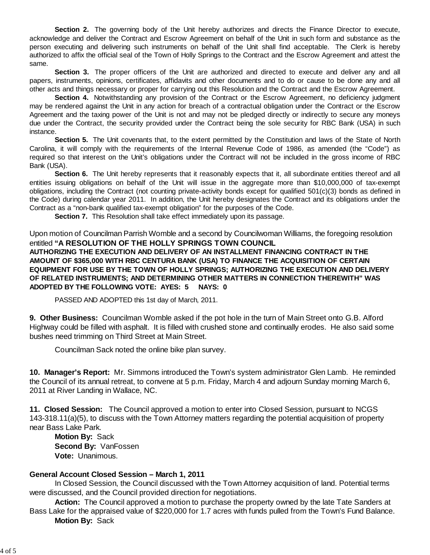**Section 2.** The governing body of the Unit hereby authorizes and directs the Finance Director to execute, acknowledge and deliver the Contract and Escrow Agreement on behalf of the Unit in such form and substance as the person executing and delivering such instruments on behalf of the Unit shall find acceptable. The Clerk is hereby authorized to affix the official seal of the Town of Holly Springs to the Contract and the Escrow Agreement and attest the same.

**Section 3.** The proper officers of the Unit are authorized and directed to execute and deliver any and all papers, instruments, opinions, certificates, affidavits and other documents and to do or cause to be done any and all other acts and things necessary or proper for carrying out this Resolution and the Contract and the Escrow Agreement.

**Section 4.** Notwithstanding any provision of the Contract or the Escrow Agreement, no deficiency judgment may be rendered against the Unit in any action for breach of a contractual obligation under the Contract or the Escrow Agreement and the taxing power of the Unit is not and may not be pledged directly or indirectly to secure any moneys due under the Contract, the security provided under the Contract being the sole security for RBC Bank (USA) in such instance.

**Section 5.** The Unit covenants that, to the extent permitted by the Constitution and laws of the State of North Carolina, it will comply with the requirements of the Internal Revenue Code of 1986, as amended (the "Code") as required so that interest on the Unit's obligations under the Contract will not be included in the gross income of RBC Bank (USA).

**Section 6.** The Unit hereby represents that it reasonably expects that it, all subordinate entities thereof and all entities issuing obligations on behalf of the Unit will issue in the aggregate more than \$10,000,000 of tax-exempt obligations, including the Contract (not counting private-activity bonds except for qualified 501(c)(3) bonds as defined in the Code) during calendar year 2011. In addition, the Unit hereby designates the Contract and its obligations under the Contract as a "non-bank qualified tax-exempt obligation" for the purposes of the Code.

**Section 7.** This Resolution shall take effect immediately upon its passage.

Upon motion of Councilman Parrish Womble and a second by Councilwoman Williams, the foregoing resolution entitled **"A RESOLUTION OF THE HOLLY SPRINGS TOWN COUNCIL AUTHORIZING THE EXECUTION AND DELIVERY OF AN INSTALLMENT FINANCING CONTRACT IN THE AMOUNT OF \$365,000 WITH RBC CENTURA BANK (USA) TO FINANCE THE ACQUISITION OF CERTAIN EQUIPMENT FOR USE BY THE TOWN OF HOLLY SPRINGS; AUTHORIZING THE EXECUTION AND DELIVERY OF RELATED INSTRUMENTS; AND DETERMINING OTHER MATTERS IN CONNECTION THEREWITH" WAS ADOPTED BY THE FOLLOWING VOTE: AYES: 5 NAYS: 0**

PASSED AND ADOPTED this 1st day of March, 2011.

**9. Other Business:** Councilman Womble asked if the pot hole in the turn of Main Street onto G.B. Alford Highway could be filled with asphalt. It is filled with crushed stone and continually erodes. He also said some bushes need trimming on Third Street at Main Street.

Councilman Sack noted the online bike plan survey.

**10. Manager's Report:** Mr. Simmons introduced the Town's system administrator Glen Lamb. He reminded the Council of its annual retreat, to convene at 5 p.m. Friday, March 4 and adjourn Sunday morning March 6, 2011 at River Landing in Wallace, NC.

**11. Closed Session:** The Council approved a motion to enter into Closed Session, pursuant to NCGS 143-318.11(a)(5), to discuss with the Town Attorney matters regarding the potential acquisition of property near Bass Lake Park.

 **Motion By:** Sack **Second By:** VanFossen **Vote:** Unanimous.

### **General Account Closed Session – March 1, 2011**

 In Closed Session, the Council discussed with the Town Attorney acquisition of land. Potential terms were discussed, and the Council provided direction for negotiations.

 **Action:** The Council approved a motion to purchase the property owned by the late Tate Sanders at Bass Lake for the appraised value of \$220,000 for 1.7 acres with funds pulled from the Town's Fund Balance. **Motion By:** Sack